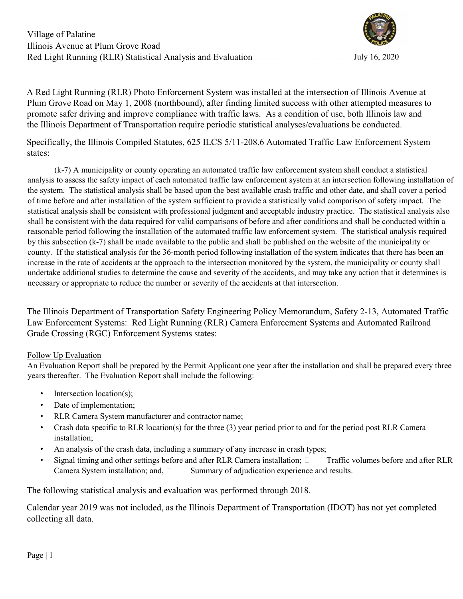

A Red Light Running (RLR) Photo Enforcement System was installed at the intersection of Illinois Avenue at Plum Grove Road on May 1, 2008 (northbound), after finding limited success with other attempted measures to promote safer driving and improve compliance with traffic laws. As a condition of use, both Illinois law and the Illinois Department of Transportation require periodic statistical analyses/evaluations be conducted.

Specifically, the Illinois Compiled Statutes, 625 ILCS 5/11-208.6 Automated Traffic Law Enforcement System states:

 (k-7) A municipality or county operating an automated traffic law enforcement system shall conduct a statistical analysis to assess the safety impact of each automated traffic law enforcement system at an intersection following installation of the system. The statistical analysis shall be based upon the best available crash traffic and other date, and shall cover a period of time before and after installation of the system sufficient to provide a statistically valid comparison of safety impact. The statistical analysis shall be consistent with professional judgment and acceptable industry practice. The statistical analysis also shall be consistent with the data required for valid comparisons of before and after conditions and shall be conducted within a reasonable period following the installation of the automated traffic law enforcement system. The statistical analysis required by this subsection (k-7) shall be made available to the public and shall be published on the website of the municipality or county. If the statistical analysis for the 36-month period following installation of the system indicates that there has been an increase in the rate of accidents at the approach to the intersection monitored by the system, the municipality or county shall undertake additional studies to determine the cause and severity of the accidents, and may take any action that it determines is necessary or appropriate to reduce the number or severity of the accidents at that intersection.

The Illinois Department of Transportation Safety Engineering Policy Memorandum, Safety 2-13, Automated Traffic Law Enforcement Systems: Red Light Running (RLR) Camera Enforcement Systems and Automated Railroad Grade Crossing (RGC) Enforcement Systems states:

### Follow Up Evaluation

An Evaluation Report shall be prepared by the Permit Applicant one year after the installation and shall be prepared every three years thereafter. The Evaluation Report shall include the following:

- Intersection location(s);
- Date of implementation;
- RLR Camera System manufacturer and contractor name;
- Crash data specific to RLR location(s) for the three (3) year period prior to and for the period post RLR Camera installation;
- An analysis of the crash data, including a summary of any increase in crash types;
- Signal timing and other settings before and after RLR Camera installation;  $\Box$  Traffic volumes before and after RLR Camera System installation; and,  $\square$  Summary of adjudication experience and results.

The following statistical analysis and evaluation was performed through 2018.

Calendar year 2019 was not included, as the Illinois Department of Transportation (IDOT) has not yet completed collecting all data.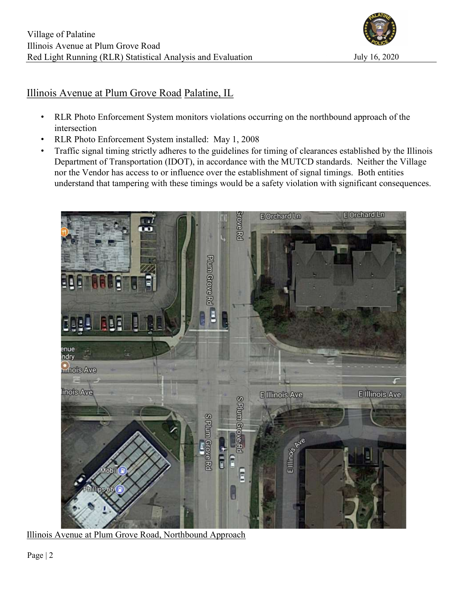

## Illinois Avenue at Plum Grove Road Palatine, IL

- RLR Photo Enforcement System monitors violations occurring on the northbound approach of the intersection
- RLR Photo Enforcement System installed: May 1, 2008
- Traffic signal timing strictly adheres to the guidelines for timing of clearances established by the Illinois Department of Transportation (IDOT), in accordance with the MUTCD standards. Neither the Village nor the Vendor has access to or influence over the establishment of signal timings. Both entities understand that tampering with these timings would be a safety violation with significant consequences.



Illinois Avenue at Plum Grove Road, Northbound Approach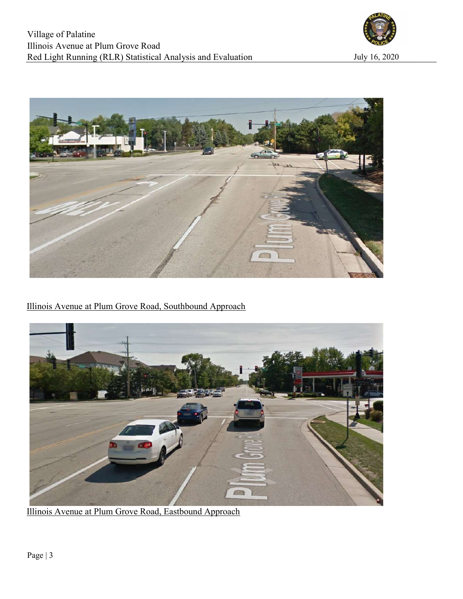



Illinois Avenue at Plum Grove Road, Southbound Approach



Illinois Avenue at Plum Grove Road, Eastbound Approach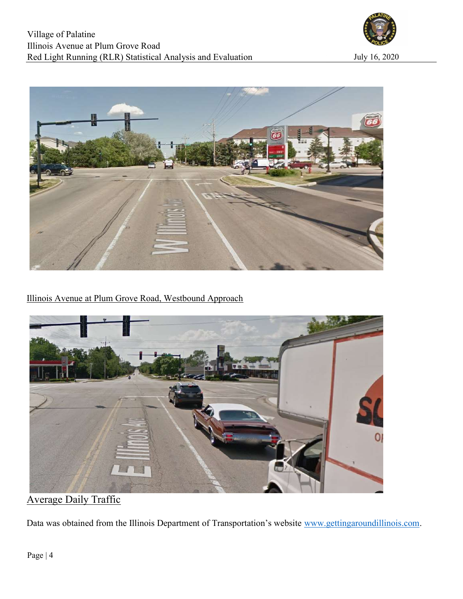



Illinois Avenue at Plum Grove Road, Westbound Approach



Average Daily Traffic

Data was obtained from the Illinois Department of Transportation's website www.gettingaroundillinois.com.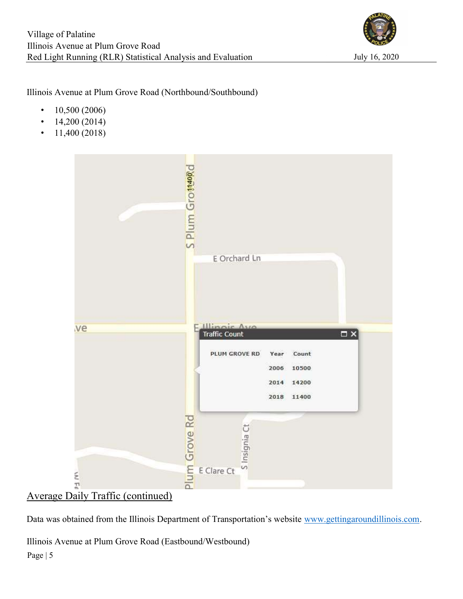

Illinois Avenue at Plum Grove Road (Northbound/Southbound)

- $10,500 (2006)$
- $\cdot$  14,200 (2014)
- $11,400 (2018)$



# Average Daily Traffic (continued)

Data was obtained from the Illinois Department of Transportation's website www.gettingaroundillinois.com.

Illinois Avenue at Plum Grove Road (Eastbound/Westbound)

Page | 5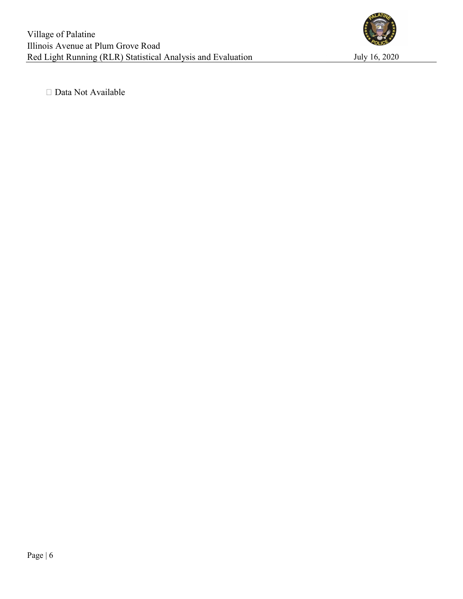

□ Data Not Available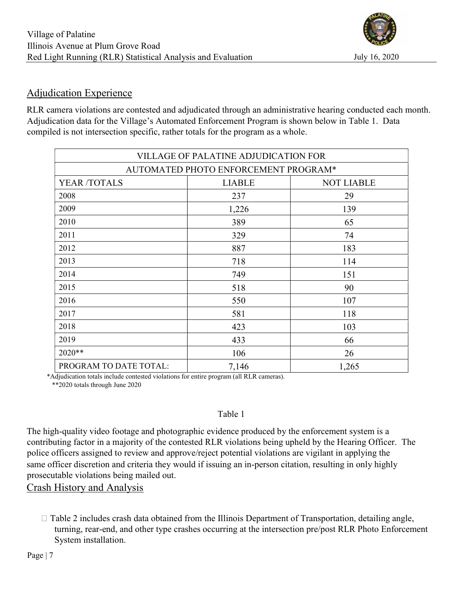

## Adjudication Experience

RLR camera violations are contested and adjudicated through an administrative hearing conducted each month. Adjudication data for the Village's Automated Enforcement Program is shown below in Table 1. Data compiled is not intersection specific, rather totals for the program as a whole.

|                                      | <b>VILLAGE OF PALATINE ADJUDICATION FOR</b> |                   |  |  |  |  |  |  |  |
|--------------------------------------|---------------------------------------------|-------------------|--|--|--|--|--|--|--|
| AUTOMATED PHOTO ENFORCEMENT PROGRAM* |                                             |                   |  |  |  |  |  |  |  |
| YEAR /TOTALS                         | <b>LIABLE</b>                               | <b>NOT LIABLE</b> |  |  |  |  |  |  |  |
| 2008                                 | 237                                         | 29                |  |  |  |  |  |  |  |
| 2009                                 | 1,226                                       | 139               |  |  |  |  |  |  |  |
| 2010                                 | 389                                         | 65                |  |  |  |  |  |  |  |
| 2011                                 | 329                                         | 74                |  |  |  |  |  |  |  |
| 2012                                 | 887                                         | 183               |  |  |  |  |  |  |  |
| 2013                                 | 718                                         | 114               |  |  |  |  |  |  |  |
| 2014                                 | 749                                         | 151               |  |  |  |  |  |  |  |
| 2015                                 | 518                                         | 90                |  |  |  |  |  |  |  |
| 2016                                 | 550                                         | 107               |  |  |  |  |  |  |  |
| 2017                                 | 581                                         | 118               |  |  |  |  |  |  |  |
| 2018                                 | 423                                         | 103               |  |  |  |  |  |  |  |
| 2019                                 | 433                                         | 66                |  |  |  |  |  |  |  |
| 2020**                               | 106                                         | 26                |  |  |  |  |  |  |  |
| PROGRAM TO DATE TOTAL:               | 7,146                                       | 1,265             |  |  |  |  |  |  |  |

\*Adjudication totals include contested violations for entire program (all RLR cameras).

\*\*2020 totals through June 2020

### Table 1

The high-quality video footage and photographic evidence produced by the enforcement system is a contributing factor in a majority of the contested RLR violations being upheld by the Hearing Officer. The police officers assigned to review and approve/reject potential violations are vigilant in applying the same officer discretion and criteria they would if issuing an in-person citation, resulting in only highly prosecutable violations being mailed out.

Crash History and Analysis

 $\Box$  Table 2 includes crash data obtained from the Illinois Department of Transportation, detailing angle, turning, rear-end, and other type crashes occurring at the intersection pre/post RLR Photo Enforcement System installation.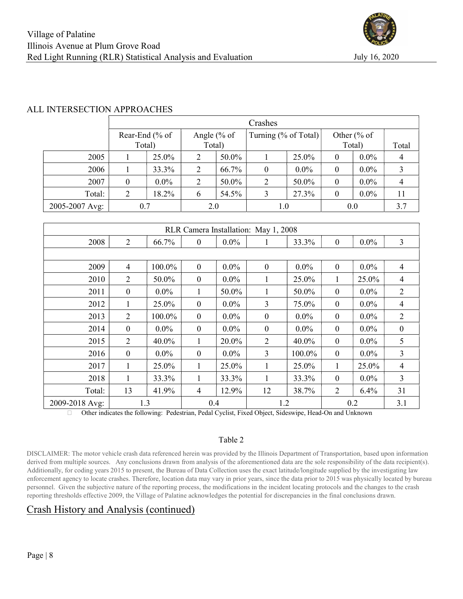

#### ALL INTERSECTION APPROACHES

|                | Crashes         |         |              |       |                      |         |                  |         |       |  |
|----------------|-----------------|---------|--------------|-------|----------------------|---------|------------------|---------|-------|--|
|                | Rear-End $%$ of |         | Angle $% of$ |       | Turning (% of Total) |         | Other $% of$     |         |       |  |
|                | Total)          |         | Total)       |       |                      |         | Total)           |         | Total |  |
| 2005           |                 | 25.0%   | 2            | 50.0% |                      | 25.0%   | $\theta$         | $0.0\%$ |       |  |
| 2006           |                 | 33.3%   | 2            | 66.7% | 0                    | $0.0\%$ | $\boldsymbol{0}$ | $0.0\%$ |       |  |
| 2007           | 0               | $0.0\%$ | 2            | 50.0% | 2                    | 50.0%   | $\boldsymbol{0}$ | $0.0\%$ |       |  |
| Total:         | 2               | 18.2%   | 6            | 54.5% | 3                    | 27.3%   | $\boldsymbol{0}$ | $0.0\%$ | 11    |  |
| 2005-2007 Avg: | 0.7             |         | 2.0          |       | $1.0\,$              |         | 0.0              |         | 3.7   |  |

| RLR Camera Installation: May 1, 2008 |                  |         |                  |         |                  |         |                  |         |                |
|--------------------------------------|------------------|---------|------------------|---------|------------------|---------|------------------|---------|----------------|
| 2008                                 | $\overline{2}$   | 66.7%   | $\mathbf{0}$     | $0.0\%$ | 1                | 33.3%   | $\boldsymbol{0}$ | $0.0\%$ | 3              |
|                                      |                  |         |                  |         |                  |         |                  |         |                |
| 2009                                 | $\overline{4}$   | 100.0%  | $\boldsymbol{0}$ | $0.0\%$ | $\boldsymbol{0}$ | $0.0\%$ | $\boldsymbol{0}$ | $0.0\%$ | $\overline{4}$ |
| 2010                                 | 2                | 50.0%   | $\mathbf{0}$     | $0.0\%$ | 1                | 25.0%   | 1                | 25.0%   | 4              |
| 2011                                 | $\boldsymbol{0}$ | $0.0\%$ | 1                | 50.0%   | 1                | 50.0%   | $\boldsymbol{0}$ | $0.0\%$ | $\overline{2}$ |
| 2012                                 | 1                | 25.0%   | $\mathbf{0}$     | $0.0\%$ | 3                | 75.0%   | $\mathbf{0}$     | $0.0\%$ | 4              |
| 2013                                 | $\overline{2}$   | 100.0%  | $\mathbf{0}$     | $0.0\%$ | $\boldsymbol{0}$ | $0.0\%$ | $\boldsymbol{0}$ | $0.0\%$ | $\overline{2}$ |
| 2014                                 | $\mathbf{0}$     | $0.0\%$ | $\mathbf{0}$     | $0.0\%$ | $\mathbf{0}$     | $0.0\%$ | $\mathbf{0}$     | $0.0\%$ | $\mathbf{0}$   |
| 2015                                 | $\overline{2}$   | 40.0%   | 1                | 20.0%   | $\overline{2}$   | 40.0%   | $\boldsymbol{0}$ | $0.0\%$ | 5              |
| 2016                                 | $\mathbf{0}$     | $0.0\%$ | $\mathbf{0}$     | $0.0\%$ | 3                | 100.0%  | $\mathbf{0}$     | $0.0\%$ | 3              |
| 2017                                 | 1                | 25.0%   | 1                | 25.0%   | 1                | 25.0%   | 1                | 25.0%   | $\overline{4}$ |
| 2018                                 | 1                | 33.3%   | 1                | 33.3%   | 1                | 33.3%   | $\mathbf{0}$     | $0.0\%$ | 3              |
| Total:                               | 13               | 41.9%   | 4                | 12.9%   | 12               | 38.7%   | 2                | 6.4%    | 31             |
| 2009-2018 Avg:                       | 1.3              |         | 0.4              |         | 1.2              |         | 0.2              |         | 3.1            |

Other indicates the following: Pedestrian, Pedal Cyclist, Fixed Object, Sideswipe, Head-On and Unknown

#### Table 2

DISCLAIMER: The motor vehicle crash data referenced herein was provided by the Illinois Department of Transportation, based upon information derived from multiple sources. Any conclusions drawn from analysis of the aforementioned data are the sole responsibility of the data recipient(s). Additionally, for coding years 2015 to present, the Bureau of Data Collection uses the exact latitude/longitude supplied by the investigating law enforcement agency to locate crashes. Therefore, location data may vary in prior years, since the data prior to 2015 was physically located by bureau personnel. Given the subjective nature of the reporting process, the modifications in the incident locating protocols and the changes to the crash reporting thresholds effective 2009, the Village of Palatine acknowledges the potential for discrepancies in the final conclusions drawn.

## Crash History and Analysis (continued)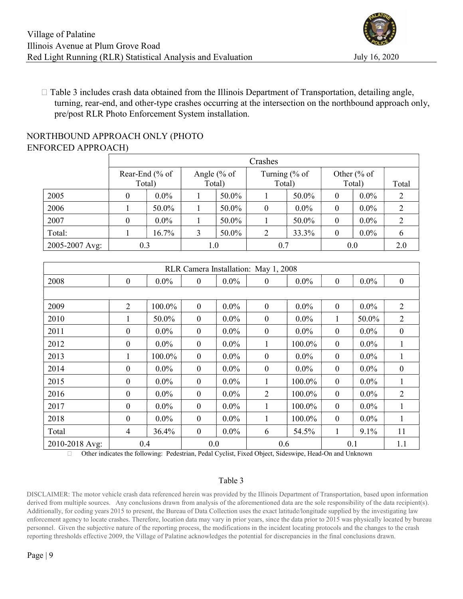

 $\Box$  Table 3 includes crash data obtained from the Illinois Department of Transportation, detailing angle, turning, rear-end, and other-type crashes occurring at the intersection on the northbound approach only, pre/post RLR Photo Enforcement System installation.

### NORTHBOUND APPROACH ONLY (PHOTO ENFORCED APPROACH)

|                | Crashes |                |              |       |                  |         |                        |         |       |  |
|----------------|---------|----------------|--------------|-------|------------------|---------|------------------------|---------|-------|--|
|                |         | Rear-End (% of | Angle $% of$ |       | Turning $% of$   |         | Other $\frac{6}{6}$ of |         |       |  |
|                |         | Total)         | Total)       |       | Total)           |         | Total)                 |         | Total |  |
| 2005           | 0       | $0.0\%$        |              | 50.0% |                  | 50.0%   | 0                      | $0.0\%$ |       |  |
| 2006           |         | 50.0%          |              | 50.0% | $\boldsymbol{0}$ | $0.0\%$ | 0                      | $0.0\%$ | 2     |  |
| 2007           | 0       | $0.0\%$        |              | 50.0% |                  | 50.0%   | $\boldsymbol{0}$       | $0.0\%$ | 2     |  |
| Total:         |         | 16.7%          | 3            | 50.0% | 2                | 33.3%   | 0                      | $0.0\%$ |       |  |
| 2005-2007 Avg: | 0.3     |                | 1.0          |       | 0.7              |         | 0.0                    | 2.0     |       |  |

| RLR Camera Installation: May 1, 2008 |                  |         |                  |         |                  |         |                  |         |                  |  |
|--------------------------------------|------------------|---------|------------------|---------|------------------|---------|------------------|---------|------------------|--|
| 2008                                 | $\mathbf{0}$     | $0.0\%$ | $\mathbf{0}$     | $0.0\%$ | $\boldsymbol{0}$ | $0.0\%$ | $\mathbf{0}$     | $0.0\%$ | $\boldsymbol{0}$ |  |
|                                      |                  |         |                  |         |                  |         |                  |         |                  |  |
| 2009                                 | $\overline{2}$   | 100.0%  | $\mathbf{0}$     | $0.0\%$ | $\mathbf{0}$     | $0.0\%$ | $\mathbf{0}$     | $0.0\%$ | $\overline{2}$   |  |
| 2010                                 | 1                | 50.0%   | $\mathbf{0}$     | $0.0\%$ | $\boldsymbol{0}$ | $0.0\%$ | 1                | 50.0%   | $\overline{2}$   |  |
| 2011                                 | $\mathbf{0}$     | $0.0\%$ | $\theta$         | $0.0\%$ | $\boldsymbol{0}$ | $0.0\%$ | $\boldsymbol{0}$ | $0.0\%$ | $\boldsymbol{0}$ |  |
| 2012                                 | $\mathbf{0}$     | $0.0\%$ | $\mathbf{0}$     | $0.0\%$ | 1                | 100.0%  | $\mathbf{0}$     | $0.0\%$ | 1                |  |
| 2013                                 | 1                | 100.0%  | $\mathbf{0}$     | $0.0\%$ | $\mathbf{0}$     | $0.0\%$ | $\mathbf{0}$     | $0.0\%$ | 1                |  |
| 2014                                 | $\mathbf{0}$     | $0.0\%$ | $\Omega$         | $0.0\%$ | $\mathbf{0}$     | $0.0\%$ | $\mathbf{0}$     | $0.0\%$ | $\overline{0}$   |  |
| 2015                                 | $\boldsymbol{0}$ | $0.0\%$ | $\boldsymbol{0}$ | $0.0\%$ | 1                | 100.0%  | $\boldsymbol{0}$ | $0.0\%$ | 1                |  |
| 2016                                 | $\mathbf{0}$     | $0.0\%$ | $\Omega$         | $0.0\%$ | $\overline{2}$   | 100.0%  | $\mathbf{0}$     | $0.0\%$ | 2                |  |
| 2017                                 | $\mathbf{0}$     | $0.0\%$ | $\mathbf{0}$     | $0.0\%$ | 1                | 100.0%  | $\boldsymbol{0}$ | $0.0\%$ | 1                |  |
| 2018                                 | $\mathbf{0}$     | $0.0\%$ | $\Omega$         | $0.0\%$ | $\mathbf{1}$     | 100.0%  | $\mathbf{0}$     | $0.0\%$ | 1                |  |
| Total                                | $\overline{4}$   | 36.4%   | $\boldsymbol{0}$ | $0.0\%$ | 6                | 54.5%   | 1                | 9.1%    | 11               |  |
| 2010-2018 Avg:                       | 0.4              |         | 0.0              |         | 0.6              |         | 0.1              |         | 1.1              |  |

Other indicates the following: Pedestrian, Pedal Cyclist, Fixed Object, Sideswipe, Head-On and Unknown

#### Table 3

DISCLAIMER: The motor vehicle crash data referenced herein was provided by the Illinois Department of Transportation, based upon information derived from multiple sources. Any conclusions drawn from analysis of the aforementioned data are the sole responsibility of the data recipient(s). Additionally, for coding years 2015 to present, the Bureau of Data Collection uses the exact latitude/longitude supplied by the investigating law enforcement agency to locate crashes. Therefore, location data may vary in prior years, since the data prior to 2015 was physically located by bureau personnel. Given the subjective nature of the reporting process, the modifications in the incident locating protocols and the changes to the crash reporting thresholds effective 2009, the Village of Palatine acknowledges the potential for discrepancies in the final conclusions drawn.